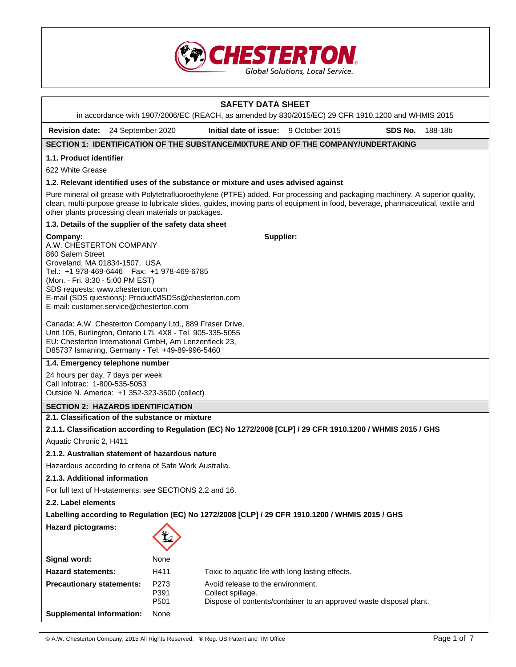

# **SAFETY DATA SHEET**  in accordance with 1907/2006/EC (REACH, as amended by 830/2015/EC) 29 CFR 1910.1200 and WHMIS 2015 **Revision date:** 24 September 2020 **Initial date of issue:** 9 October 2015 **SDS No.** 188-18b **SECTION 1: IDENTIFICATION OF THE SUBSTANCE/MIXTURE AND OF THE COMPANY/UNDERTAKING 1.1. Product identifier**  622 White Grease **1.2. Relevant identified uses of the substance or mixture and uses advised against**  Pure mineral oil grease with Polytetrafluoroethylene (PTFE) added. For processing and packaging machinery. A superior quality, clean, multi-purpose grease to lubricate slides, guides, moving parts of equipment in food, beverage, pharmaceutical, textile and other plants processing clean materials or packages. **1.3. Details of the supplier of the safety data sheet Company:** A.W. CHESTERTON COMPANY 860 Salem Street Groveland, MA 01834-1507, USA Tel.: +1 978-469-6446 Fax: +1 978-469-6785 (Mon. - Fri. 8:30 - 5:00 PM EST) SDS requests: www.chesterton.com E-mail (SDS questions): ProductMSDSs@chesterton.com E-mail: customer.service@chesterton.com Canada: A.W. Chesterton Company Ltd., 889 Fraser Drive, Unit 105, Burlington, Ontario L7L 4X8 - Tel. 905-335-5055 EU: Chesterton International GmbH, Am Lenzenfleck 23, D85737 Ismaning, Germany - Tel. +49-89-996-5460 **Supplier: 1.4. Emergency telephone number**  24 hours per day, 7 days per week Call Infotrac: 1-800-535-5053 Outside N. America: +1 352-323-3500 (collect) **SECTION 2: HAZARDS IDENTIFICATION 2.1. Classification of the substance or mixture 2.1.1. Classification according to Regulation (EC) No 1272/2008 [CLP] / 29 CFR 1910.1200 / WHMIS 2015 / GHS**  Aquatic Chronic 2, H411 **2.1.2. Australian statement of hazardous nature**

Hazardous according to criteria of Safe Work Australia.

## **2.1.3. Additional information**

For full text of H-statements: see SECTIONS 2.2 and 16.

**2.2. Label elements** 

**Hazard pictograms:** 

## **Labelling according to Regulation (EC) No 1272/2008 [CLP] / 29 CFR 1910.1200 / WHMIS 2015 / GHS**



| Signal word:                     | None                             |                                                                                                                              |
|----------------------------------|----------------------------------|------------------------------------------------------------------------------------------------------------------------------|
| <b>Hazard statements:</b>        | H411                             | Toxic to aquatic life with long lasting effects.                                                                             |
| <b>Precautionary statements:</b> | P <sub>273</sub><br>P391<br>P501 | Avoid release to the environment.<br>Collect spillage.<br>Dispose of contents/container to an approved waste disposal plant. |
| Supplemental information:        | None                             |                                                                                                                              |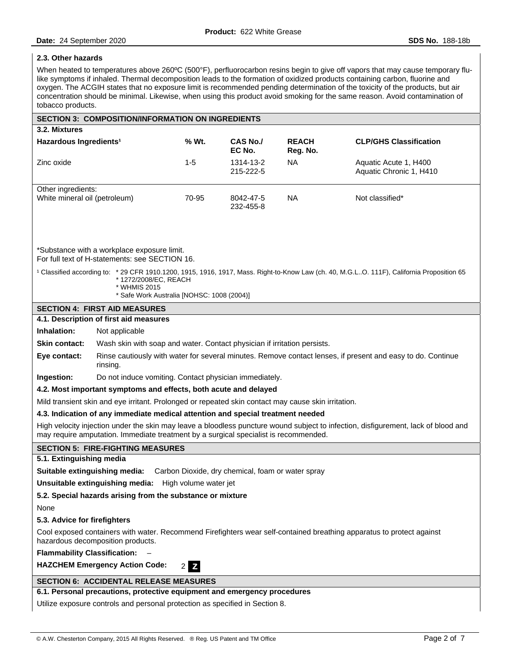## **2.3. Other hazards**

When heated to temperatures above 260°C (500°F), perfluorocarbon resins begin to give off vapors that may cause temporary flulike symptoms if inhaled. Thermal decomposition leads to the formation of oxidized products containing carbon, fluorine and oxygen. The ACGIH states that no exposure limit is recommended pending determination of the toxicity of the products, but air concentration should be minimal. Likewise, when using this product avoid smoking for the same reason. Avoid contamination of tobacco products.

| <b>SECTION 3: COMPOSITION/INFORMATION ON INGREDIENTS</b>                                                                                                                                                                   |                                                                                               |         |                           |                          |                                                                                                                                                      |
|----------------------------------------------------------------------------------------------------------------------------------------------------------------------------------------------------------------------------|-----------------------------------------------------------------------------------------------|---------|---------------------------|--------------------------|------------------------------------------------------------------------------------------------------------------------------------------------------|
| 3.2. Mixtures                                                                                                                                                                                                              |                                                                                               |         |                           |                          |                                                                                                                                                      |
| Hazardous Ingredients <sup>1</sup>                                                                                                                                                                                         |                                                                                               | % Wt.   | <b>CAS No./</b><br>EC No. | <b>REACH</b><br>Reg. No. | <b>CLP/GHS Classification</b>                                                                                                                        |
| Zinc oxide                                                                                                                                                                                                                 |                                                                                               | $1 - 5$ | 1314-13-2<br>215-222-5    | <b>NA</b>                | Aquatic Acute 1, H400<br>Aquatic Chronic 1, H410                                                                                                     |
| Other ingredients:                                                                                                                                                                                                         |                                                                                               |         |                           |                          |                                                                                                                                                      |
| White mineral oil (petroleum)<br>70-95<br><b>NA</b><br>Not classified*<br>8042-47-5<br>232-455-8                                                                                                                           |                                                                                               |         |                           |                          |                                                                                                                                                      |
|                                                                                                                                                                                                                            | *Substance with a workplace exposure limit.<br>For full text of H-statements: see SECTION 16. |         |                           |                          |                                                                                                                                                      |
|                                                                                                                                                                                                                            | * 1272/2008/EC, REACH<br>* WHMIS 2015<br>* Safe Work Australia [NOHSC: 1008 (2004)]           |         |                           |                          | <sup>1</sup> Classified according to: *29 CFR 1910.1200, 1915, 1916, 1917, Mass. Right-to-Know Law (ch. 40, M.G.LO. 111F), California Proposition 65 |
|                                                                                                                                                                                                                            | <b>SECTION 4: FIRST AID MEASURES</b>                                                          |         |                           |                          |                                                                                                                                                      |
|                                                                                                                                                                                                                            | 4.1. Description of first aid measures                                                        |         |                           |                          |                                                                                                                                                      |
| Inhalation:                                                                                                                                                                                                                | Not applicable                                                                                |         |                           |                          |                                                                                                                                                      |
| <b>Skin contact:</b>                                                                                                                                                                                                       | Wash skin with soap and water. Contact physician if irritation persists.                      |         |                           |                          |                                                                                                                                                      |
| Rinse cautiously with water for several minutes. Remove contact lenses, if present and easy to do. Continue<br>Eye contact:<br>rinsing.                                                                                    |                                                                                               |         |                           |                          |                                                                                                                                                      |
| Ingestion:<br>Do not induce vomiting. Contact physician immediately.                                                                                                                                                       |                                                                                               |         |                           |                          |                                                                                                                                                      |
| 4.2. Most important symptoms and effects, both acute and delayed                                                                                                                                                           |                                                                                               |         |                           |                          |                                                                                                                                                      |
| Mild transient skin and eye irritant. Prolonged or repeated skin contact may cause skin irritation.                                                                                                                        |                                                                                               |         |                           |                          |                                                                                                                                                      |
| 4.3. Indication of any immediate medical attention and special treatment needed                                                                                                                                            |                                                                                               |         |                           |                          |                                                                                                                                                      |
| High velocity injection under the skin may leave a bloodless puncture wound subject to infection, disfigurement, lack of blood and<br>may require amputation. Immediate treatment by a surgical specialist is recommended. |                                                                                               |         |                           |                          |                                                                                                                                                      |
| <b>SECTION 5: FIRE-FIGHTING MEASURES</b>                                                                                                                                                                                   |                                                                                               |         |                           |                          |                                                                                                                                                      |
| 5.1. Extinguishing media                                                                                                                                                                                                   |                                                                                               |         |                           |                          |                                                                                                                                                      |
| Suitable extinguishing media:<br>Carbon Dioxide, dry chemical, foam or water spray                                                                                                                                         |                                                                                               |         |                           |                          |                                                                                                                                                      |
| Unsuitable extinguishing media:<br>High volume water jet                                                                                                                                                                   |                                                                                               |         |                           |                          |                                                                                                                                                      |
| 5.2. Special hazards arising from the substance or mixture                                                                                                                                                                 |                                                                                               |         |                           |                          |                                                                                                                                                      |
| None                                                                                                                                                                                                                       |                                                                                               |         |                           |                          |                                                                                                                                                      |
| 5.3. Advice for firefighters                                                                                                                                                                                               |                                                                                               |         |                           |                          |                                                                                                                                                      |
| Cool exposed containers with water. Recommend Firefighters wear self-contained breathing apparatus to protect against<br>hazardous decomposition products.                                                                 |                                                                                               |         |                           |                          |                                                                                                                                                      |
| <b>Flammability Classification:</b>                                                                                                                                                                                        |                                                                                               |         |                           |                          |                                                                                                                                                      |
| <b>HAZCHEM Emergency Action Code:</b><br>2Z                                                                                                                                                                                |                                                                                               |         |                           |                          |                                                                                                                                                      |
| <b>SECTION 6: ACCIDENTAL RELEASE MEASURES</b>                                                                                                                                                                              |                                                                                               |         |                           |                          |                                                                                                                                                      |
| 6.1. Personal precautions, protective equipment and emergency procedures                                                                                                                                                   |                                                                                               |         |                           |                          |                                                                                                                                                      |
|                                                                                                                                                                                                                            | Utilize exposure controls and personal protection as specified in Section 8.                  |         |                           |                          |                                                                                                                                                      |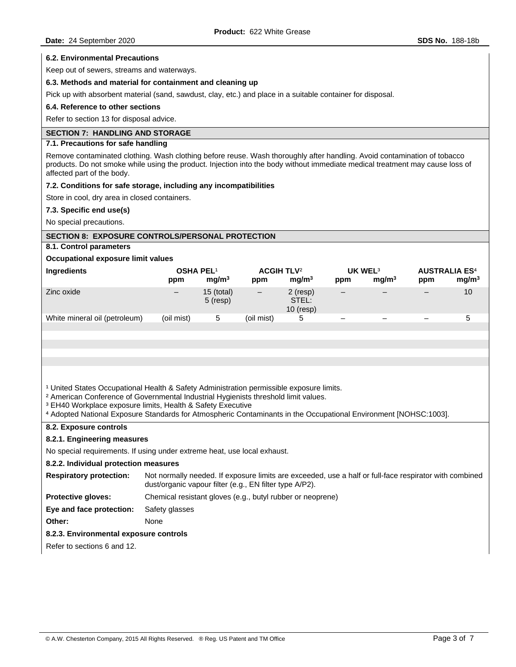### **6.2. Environmental Precautions**

Keep out of sewers, streams and waterways.

#### **6.3. Methods and material for containment and cleaning up**

Pick up with absorbent material (sand, sawdust, clay, etc.) and place in a suitable container for disposal.

#### **6.4. Reference to other sections**

Refer to section 13 for disposal advice.

## **SECTION 7: HANDLING AND STORAGE**

### **7.1. Precautions for safe handling**

Remove contaminated clothing. Wash clothing before reuse. Wash thoroughly after handling. Avoid contamination of tobacco products. Do not smoke while using the product. Injection into the body without immediate medical treatment may cause loss of affected part of the body.

### **7.2. Conditions for safe storage, including any incompatibilities**

Store in cool, dry area in closed containers.

### **7.3. Specific end use(s)**

No special precautions.

## **SECTION 8: EXPOSURE CONTROLS/PERSONAL PROTECTION**

**8.1. Control parameters** 

### **Occupational exposure limit values**

| <b>Ingredients</b>            | <b>OSHA PEL1</b><br>ppm | mq/m <sup>3</sup>          | <b>ACGIH TLV<sup>2</sup></b><br>ppm | mq/m <sup>3</sup>                | UK WEL <sup>3</sup><br>ppm | mq/m <sup>3</sup> | ppm | <b>AUSTRALIA ES<sup>4</sup></b><br>mg/m <sup>3</sup> |
|-------------------------------|-------------------------|----------------------------|-------------------------------------|----------------------------------|----------------------------|-------------------|-----|------------------------------------------------------|
| Zinc oxide                    | $\qquad \qquad -$       | $15$ (total)<br>$5$ (resp) | $\qquad \qquad -$                   | 2 (resp)<br>STEL:<br>$10$ (resp) | $\qquad \qquad -$          |                   |     | 10                                                   |
| White mineral oil (petroleum) | (oil mist)              | 5                          | (oil mist)                          | Ⴆ                                | $\overline{\phantom{0}}$   |                   |     | 5                                                    |
|                               |                         |                            |                                     |                                  |                            |                   |     |                                                      |

<sup>1</sup> United States Occupational Health & Safety Administration permissible exposure limits.

- <sup>2</sup> American Conference of Governmental Industrial Hygienists threshold limit values.
- <sup>3</sup> EH40 Workplace exposure limits, Health & Safety Executive
- ⁴ Adopted National Exposure Standards for Atmospheric Contaminants in the Occupational Environment [NOHSC:1003].

# **8.2. Exposure controls**

## **8.2.1. Engineering measures**

No special requirements. If using under extreme heat, use local exhaust.

### **8.2.2. Individual protection measures**

| <b>Respiratory protection:</b> | Not normally needed. If exposure limits are exceeded, use a half or full-face respirator with combined |
|--------------------------------|--------------------------------------------------------------------------------------------------------|
|                                | dust/organic vapour filter (e.g., EN filter type A/P2).                                                |

**Protective gloves:** Chemical resistant gloves (e.g., butyl rubber or neoprene)

**Eye and face protection:** Safety glasses

**Other:** None

## **8.2.3. Environmental exposure controls**

Refer to sections 6 and 12.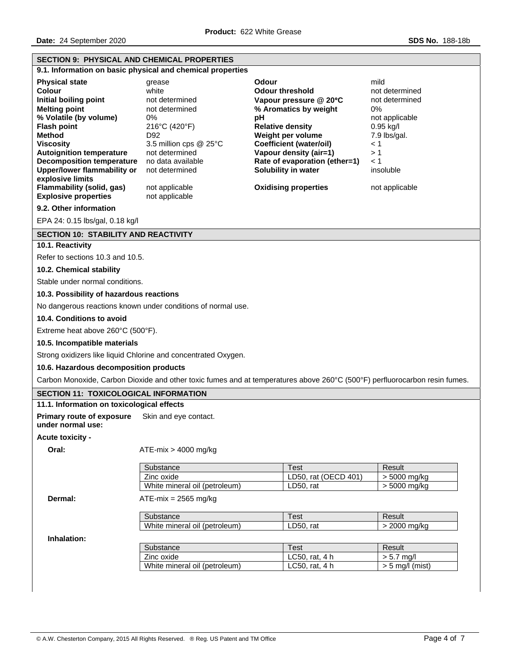| <b>SECTION 9: PHYSICAL AND CHEMICAL PROPERTIES</b>                                                                                                                                                                                                                                 |                                                                                                                                                                           |                                                                                                                                                                                                                                                                     |                                                                                                                                            |  |
|------------------------------------------------------------------------------------------------------------------------------------------------------------------------------------------------------------------------------------------------------------------------------------|---------------------------------------------------------------------------------------------------------------------------------------------------------------------------|---------------------------------------------------------------------------------------------------------------------------------------------------------------------------------------------------------------------------------------------------------------------|--------------------------------------------------------------------------------------------------------------------------------------------|--|
|                                                                                                                                                                                                                                                                                    | 9.1. Information on basic physical and chemical properties                                                                                                                |                                                                                                                                                                                                                                                                     |                                                                                                                                            |  |
| <b>Physical state</b><br>Colour<br>Initial boiling point<br><b>Melting point</b><br>% Volatile (by volume)<br><b>Flash point</b><br><b>Method</b><br><b>Viscositv</b><br><b>Autoignition temperature</b><br><b>Decomposition temperature</b><br><b>Upper/lower flammability or</b> | grease<br>white<br>not determined<br>not determined<br>0%<br>216°C (420°F)<br>D92<br>3.5 million cps $@$ 25 $°C$<br>not determined<br>no data available<br>not determined | <b>Odour</b><br><b>Odour threshold</b><br>Vapour pressure @ 20°C<br>% Aromatics by weight<br>pH<br><b>Relative density</b><br>Weight per volume<br><b>Coefficient (water/oil)</b><br>Vapour density (air=1)<br>Rate of evaporation (ether=1)<br>Solubility in water | mild<br>not determined<br>not determined<br>0%<br>not applicable<br>$0.95$ kg/l<br>7.9 lbs/gal.<br>$\leq 1$<br>>1<br>$\leq 1$<br>insoluble |  |
| explosive limits<br>Flammability (solid, gas)<br><b>Explosive properties</b>                                                                                                                                                                                                       | not applicable<br>not applicable                                                                                                                                          | <b>Oxidising properties</b>                                                                                                                                                                                                                                         | not applicable                                                                                                                             |  |
| 9.2. Other information                                                                                                                                                                                                                                                             |                                                                                                                                                                           |                                                                                                                                                                                                                                                                     |                                                                                                                                            |  |
| EPA 24: 0.15 lbs/gal, 0.18 kg/l                                                                                                                                                                                                                                                    |                                                                                                                                                                           |                                                                                                                                                                                                                                                                     |                                                                                                                                            |  |
| <b>SECTION 10: STABILITY AND REACTIVITY</b>                                                                                                                                                                                                                                        |                                                                                                                                                                           |                                                                                                                                                                                                                                                                     |                                                                                                                                            |  |
| 10.1. Reactivity                                                                                                                                                                                                                                                                   |                                                                                                                                                                           |                                                                                                                                                                                                                                                                     |                                                                                                                                            |  |
| Refer to sections 10.3 and 10.5.                                                                                                                                                                                                                                                   |                                                                                                                                                                           |                                                                                                                                                                                                                                                                     |                                                                                                                                            |  |
| 10.2. Chemical stability                                                                                                                                                                                                                                                           |                                                                                                                                                                           |                                                                                                                                                                                                                                                                     |                                                                                                                                            |  |
| Stable under normal conditions.                                                                                                                                                                                                                                                    |                                                                                                                                                                           |                                                                                                                                                                                                                                                                     |                                                                                                                                            |  |
| 10.3. Possibility of hazardous reactions                                                                                                                                                                                                                                           |                                                                                                                                                                           |                                                                                                                                                                                                                                                                     |                                                                                                                                            |  |
|                                                                                                                                                                                                                                                                                    | No dangerous reactions known under conditions of normal use.                                                                                                              |                                                                                                                                                                                                                                                                     |                                                                                                                                            |  |
| 10.4. Conditions to avoid                                                                                                                                                                                                                                                          |                                                                                                                                                                           |                                                                                                                                                                                                                                                                     |                                                                                                                                            |  |
| Extreme heat above 260°C (500°F).                                                                                                                                                                                                                                                  |                                                                                                                                                                           |                                                                                                                                                                                                                                                                     |                                                                                                                                            |  |
| 10.5. Incompatible materials                                                                                                                                                                                                                                                       |                                                                                                                                                                           |                                                                                                                                                                                                                                                                     |                                                                                                                                            |  |
|                                                                                                                                                                                                                                                                                    | Strong oxidizers like liquid Chlorine and concentrated Oxygen.                                                                                                            |                                                                                                                                                                                                                                                                     |                                                                                                                                            |  |
| 10.6. Hazardous decomposition products                                                                                                                                                                                                                                             |                                                                                                                                                                           |                                                                                                                                                                                                                                                                     |                                                                                                                                            |  |
|                                                                                                                                                                                                                                                                                    |                                                                                                                                                                           | Carbon Monoxide, Carbon Dioxide and other toxic fumes and at temperatures above 260°C (500°F) perfluorocarbon resin fumes.                                                                                                                                          |                                                                                                                                            |  |
| SECTION 11: TOXICOLOGICAL INFORMATION                                                                                                                                                                                                                                              |                                                                                                                                                                           |                                                                                                                                                                                                                                                                     |                                                                                                                                            |  |
| 11.1. Information on toxicological effects                                                                                                                                                                                                                                         |                                                                                                                                                                           |                                                                                                                                                                                                                                                                     |                                                                                                                                            |  |
| <b>Primary route of exposure</b><br>under normal use:                                                                                                                                                                                                                              | Skin and eye contact.                                                                                                                                                     |                                                                                                                                                                                                                                                                     |                                                                                                                                            |  |
| <b>Acute toxicity -</b>                                                                                                                                                                                                                                                            |                                                                                                                                                                           |                                                                                                                                                                                                                                                                     |                                                                                                                                            |  |
| Oral:                                                                                                                                                                                                                                                                              | $ATE-mix > 4000$ mg/kg                                                                                                                                                    |                                                                                                                                                                                                                                                                     |                                                                                                                                            |  |
|                                                                                                                                                                                                                                                                                    | Substance                                                                                                                                                                 | Test                                                                                                                                                                                                                                                                | Result                                                                                                                                     |  |
|                                                                                                                                                                                                                                                                                    | Zinc oxide<br>White mineral oil (petroleum)                                                                                                                               | LD50, rat (OECD 401)<br>LD50, rat                                                                                                                                                                                                                                   | > 5000 mg/kg<br>> 5000 mg/kg                                                                                                               |  |
| Dermal:                                                                                                                                                                                                                                                                            | $ATE-mix = 2565 mg/kg$                                                                                                                                                    |                                                                                                                                                                                                                                                                     |                                                                                                                                            |  |
|                                                                                                                                                                                                                                                                                    | Substance                                                                                                                                                                 | <b>Test</b>                                                                                                                                                                                                                                                         | Result                                                                                                                                     |  |
|                                                                                                                                                                                                                                                                                    | White mineral oil (petroleum)                                                                                                                                             | LD50, rat                                                                                                                                                                                                                                                           | > 2000 mg/kg                                                                                                                               |  |
| Inhalation:                                                                                                                                                                                                                                                                        |                                                                                                                                                                           |                                                                                                                                                                                                                                                                     |                                                                                                                                            |  |
|                                                                                                                                                                                                                                                                                    | Substance                                                                                                                                                                 | <b>Test</b>                                                                                                                                                                                                                                                         | Result                                                                                                                                     |  |
|                                                                                                                                                                                                                                                                                    | Zinc oxide                                                                                                                                                                | LC50, rat, 4 h                                                                                                                                                                                                                                                      | $> 5.7$ mg/l                                                                                                                               |  |
|                                                                                                                                                                                                                                                                                    | White mineral oil (petroleum)                                                                                                                                             | LC50, rat, 4 h                                                                                                                                                                                                                                                      | $> 5$ mg/l (mist)                                                                                                                          |  |
|                                                                                                                                                                                                                                                                                    |                                                                                                                                                                           |                                                                                                                                                                                                                                                                     |                                                                                                                                            |  |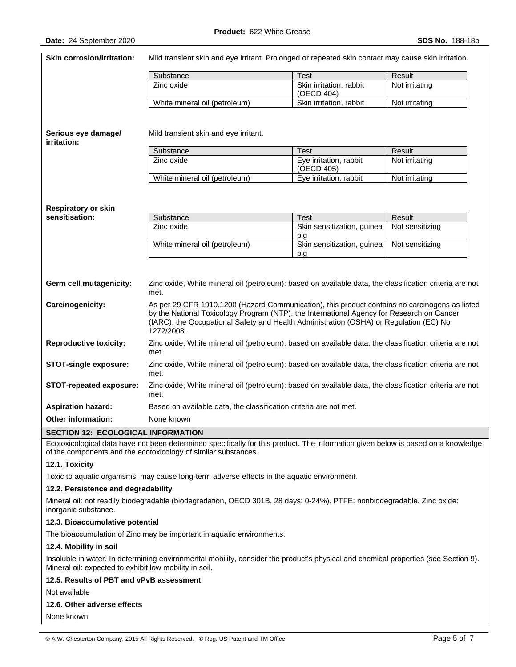| Skin corrosion/irritation:         | Mild transient skin and eye irritant. Prolonged or repeated skin contact may cause skin irritation.                                                                                                                                                                                                 |                                       |                 |  |
|------------------------------------|-----------------------------------------------------------------------------------------------------------------------------------------------------------------------------------------------------------------------------------------------------------------------------------------------------|---------------------------------------|-----------------|--|
|                                    | Substance                                                                                                                                                                                                                                                                                           | <b>Test</b>                           | Result          |  |
|                                    | Zinc oxide                                                                                                                                                                                                                                                                                          | Skin irritation, rabbit<br>(OECD 404) | Not irritating  |  |
|                                    | White mineral oil (petroleum)                                                                                                                                                                                                                                                                       | Skin irritation, rabbit               | Not irritating  |  |
| Serious eye damage/<br>irritation: | Mild transient skin and eye irritant.                                                                                                                                                                                                                                                               |                                       |                 |  |
|                                    | Substance                                                                                                                                                                                                                                                                                           | <b>Test</b>                           | Result          |  |
|                                    | Zinc oxide                                                                                                                                                                                                                                                                                          | Eye irritation, rabbit<br>(OECD 405)  | Not irritating  |  |
|                                    | White mineral oil (petroleum)                                                                                                                                                                                                                                                                       | Eye irritation, rabbit                | Not irritating  |  |
| <b>Respiratory or skin</b>         |                                                                                                                                                                                                                                                                                                     |                                       |                 |  |
| sensitisation:                     | Substance                                                                                                                                                                                                                                                                                           | Test                                  | Result          |  |
|                                    | Zinc oxide                                                                                                                                                                                                                                                                                          | Skin sensitization, guinea<br>pig     | Not sensitizing |  |
|                                    | White mineral oil (petroleum)                                                                                                                                                                                                                                                                       | Skin sensitization, guinea<br>pig     | Not sensitizing |  |
| Germ cell mutagenicity:            | Zinc oxide, White mineral oil (petroleum): based on available data, the classification criteria are not<br>met.                                                                                                                                                                                     |                                       |                 |  |
| Carcinogenicity:                   | As per 29 CFR 1910.1200 (Hazard Communication), this product contains no carcinogens as listed<br>by the National Toxicology Program (NTP), the International Agency for Research on Cancer<br>(IARC), the Occupational Safety and Health Administration (OSHA) or Regulation (EC) No<br>1272/2008. |                                       |                 |  |
| <b>Reproductive toxicity:</b>      | Zinc oxide, White mineral oil (petroleum): based on available data, the classification criteria are not<br>met.                                                                                                                                                                                     |                                       |                 |  |
| <b>STOT-single exposure:</b>       | Zinc oxide, White mineral oil (petroleum): based on available data, the classification criteria are not<br>met.                                                                                                                                                                                     |                                       |                 |  |
| <b>STOT-repeated exposure:</b>     | Zinc oxide, White mineral oil (petroleum): based on available data, the classification criteria are not<br>met.                                                                                                                                                                                     |                                       |                 |  |
| <b>Aspiration hazard:</b>          | Based on available data, the classification criteria are not met.                                                                                                                                                                                                                                   |                                       |                 |  |
| <b>Other information:</b>          | None known                                                                                                                                                                                                                                                                                          |                                       |                 |  |
| CECTION 12. FCOLOGICAL INFORMATION |                                                                                                                                                                                                                                                                                                     |                                       |                 |  |

#### **SECTION 12: ECOLOGICAL INFORMATION**

Ecotoxicological data have not been determined specifically for this product. The information given below is based on a knowledge of the components and the ecotoxicology of similar substances.

## **12.1. Toxicity**

Toxic to aquatic organisms, may cause long-term adverse effects in the aquatic environment.

#### **12.2. Persistence and degradability**

Mineral oil: not readily biodegradable (biodegradation, OECD 301B, 28 days: 0-24%). PTFE: nonbiodegradable. Zinc oxide: inorganic substance.

### **12.3. Bioaccumulative potential**

The bioaccumulation of Zinc may be important in aquatic environments.

### **12.4. Mobility in soil**

Insoluble in water. In determining environmental mobility, consider the product's physical and chemical properties (see Section 9). Mineral oil: expected to exhibit low mobility in soil.

### **12.5. Results of PBT and vPvB assessment**

Not available

### **12.6. Other adverse effects**

None known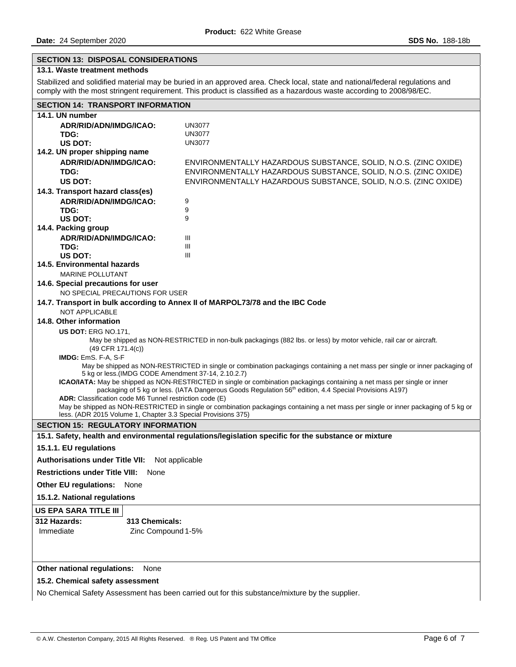# **SECTION 13: DISPOSAL CONSIDERATIONS**

# **13.1. Waste treatment methods**

Stabilized and solidified material may be buried in an approved area. Check local, state and national/federal regulations and comply with the most stringent requirement. This product is classified as a hazardous waste according to 2008/98/EC.

| <b>SECTION 14: TRANSPORT INFORMATION</b>                                                                                                                                        |                                                                                                                    |  |  |  |
|---------------------------------------------------------------------------------------------------------------------------------------------------------------------------------|--------------------------------------------------------------------------------------------------------------------|--|--|--|
| 14.1. UN number                                                                                                                                                                 |                                                                                                                    |  |  |  |
| ADR/RID/ADN/IMDG/ICAO:                                                                                                                                                          | <b>UN3077</b>                                                                                                      |  |  |  |
| TDG:                                                                                                                                                                            | <b>UN3077</b>                                                                                                      |  |  |  |
| US DOT:                                                                                                                                                                         | <b>UN3077</b>                                                                                                      |  |  |  |
| 14.2. UN proper shipping name                                                                                                                                                   |                                                                                                                    |  |  |  |
| ADR/RID/ADN/IMDG/ICAO:                                                                                                                                                          | ENVIRONMENTALLY HAZARDOUS SUBSTANCE, SOLID, N.O.S. (ZINC OXIDE)                                                    |  |  |  |
| TDG:                                                                                                                                                                            | ENVIRONMENTALLY HAZARDOUS SUBSTANCE, SOLID, N.O.S. (ZINC OXIDE)                                                    |  |  |  |
| US DOT:                                                                                                                                                                         | ENVIRONMENTALLY HAZARDOUS SUBSTANCE, SOLID, N.O.S. (ZINC OXIDE)                                                    |  |  |  |
| 14.3. Transport hazard class(es)                                                                                                                                                |                                                                                                                    |  |  |  |
| ADR/RID/ADN/IMDG/ICAO:                                                                                                                                                          | 9                                                                                                                  |  |  |  |
| TDG:                                                                                                                                                                            | 9                                                                                                                  |  |  |  |
| US DOT:<br>14.4. Packing group                                                                                                                                                  | 9                                                                                                                  |  |  |  |
| ADR/RID/ADN/IMDG/ICAO:                                                                                                                                                          | Ш                                                                                                                  |  |  |  |
| TDG:                                                                                                                                                                            | Ш                                                                                                                  |  |  |  |
| US DOT:                                                                                                                                                                         | III                                                                                                                |  |  |  |
| 14.5. Environmental hazards                                                                                                                                                     |                                                                                                                    |  |  |  |
| <b>MARINE POLLUTANT</b>                                                                                                                                                         |                                                                                                                    |  |  |  |
| 14.6. Special precautions for user                                                                                                                                              |                                                                                                                    |  |  |  |
| NO SPECIAL PRECAUTIONS FOR USER                                                                                                                                                 |                                                                                                                    |  |  |  |
|                                                                                                                                                                                 | 14.7. Transport in bulk according to Annex II of MARPOL73/78 and the IBC Code                                      |  |  |  |
| <b>NOT APPLICABLE</b>                                                                                                                                                           |                                                                                                                    |  |  |  |
| 14.8. Other information                                                                                                                                                         |                                                                                                                    |  |  |  |
| US DOT: ERG NO.171,                                                                                                                                                             |                                                                                                                    |  |  |  |
|                                                                                                                                                                                 | May be shipped as NON-RESTRICTED in non-bulk packagings (882 lbs. or less) by motor vehicle, rail car or aircraft. |  |  |  |
| $(49$ CFR $171.4(c)$ )                                                                                                                                                          |                                                                                                                    |  |  |  |
| IMDG: EmS. F-A, S-F                                                                                                                                                             |                                                                                                                    |  |  |  |
| May be shipped as NON-RESTRICTED in single or combination packagings containing a net mass per single or inner packaging of                                                     |                                                                                                                    |  |  |  |
| 5 kg or less.(IMDG CODE Amendment 37-14, 2.10.2.7)<br>ICAO/IATA: May be shipped as NON-RESTRICTED in single or combination packagings containing a net mass per single or inner |                                                                                                                    |  |  |  |
| packaging of 5 kg or less. (IATA Dangerous Goods Regulation 56 <sup>th</sup> edition, 4.4 Special Provisions A197)                                                              |                                                                                                                    |  |  |  |
| ADR: Classification code M6 Tunnel restriction code (E)                                                                                                                         |                                                                                                                    |  |  |  |
| May be shipped as NON-RESTRICTED in single or combination packagings containing a net mass per single or inner packaging of 5 kg or                                             |                                                                                                                    |  |  |  |
| less. (ADR 2015 Volume 1, Chapter 3.3 Special Provisions 375)                                                                                                                   |                                                                                                                    |  |  |  |
| <b>SECTION 15: REGULATORY INFORMATION</b>                                                                                                                                       |                                                                                                                    |  |  |  |
|                                                                                                                                                                                 | 15.1. Safety, health and environmental regulations/legislation specific for the substance or mixture               |  |  |  |
| 15.1.1. EU regulations                                                                                                                                                          |                                                                                                                    |  |  |  |
| <b>Authorisations under Title VII:</b><br>Not applicable                                                                                                                        |                                                                                                                    |  |  |  |
| <b>Restrictions under Title VIII:</b><br>None                                                                                                                                   |                                                                                                                    |  |  |  |
| <b>Other EU regulations:</b><br>None                                                                                                                                            |                                                                                                                    |  |  |  |
| 15.1.2. National regulations                                                                                                                                                    |                                                                                                                    |  |  |  |
| US EPA SARA TITLE III                                                                                                                                                           |                                                                                                                    |  |  |  |
| 312 Hazards:<br>313 Chemicals:                                                                                                                                                  |                                                                                                                    |  |  |  |
| Immediate<br>Zinc Compound 1-5%                                                                                                                                                 |                                                                                                                    |  |  |  |
|                                                                                                                                                                                 |                                                                                                                    |  |  |  |
|                                                                                                                                                                                 |                                                                                                                    |  |  |  |
|                                                                                                                                                                                 |                                                                                                                    |  |  |  |
| Other national regulations:<br>None                                                                                                                                             |                                                                                                                    |  |  |  |
| 15.2. Chemical safety assessment                                                                                                                                                |                                                                                                                    |  |  |  |
|                                                                                                                                                                                 |                                                                                                                    |  |  |  |

No Chemical Safety Assessment has been carried out for this substance/mixture by the supplier.

 $\overline{\phantom{a}}$